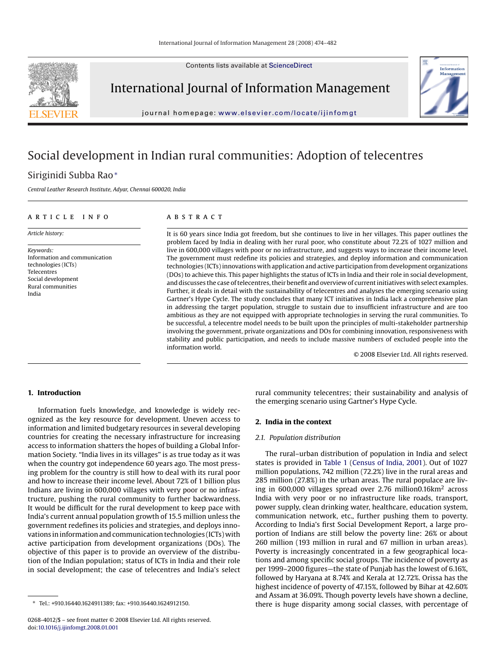Contents lists available at [ScienceDirect](http://www.sciencedirect.com/science/journal/02684012)



International Journal of Information Management

journal homepage: [www.elsevier.com/locate/ijinfomgt](http://www.elsevier.com/locate/ijinfomgt)

# Social development in Indian rural communities: Adoption of telecentres

# Siriginidi Subba Rao<sup>∗</sup>

*Central Leather Research Institute, Adyar, Chennai 600020, India*

### article info

Information and communication

*Article history:*

technologies (ICTs) **Telecentres** Social development Rural communities

*Keywords:*

India

# **ABSTRACT**

It is 60 years since India got freedom, but she continues to live in her villages. This paper outlines the problem faced by India in dealing with her rural poor, who constitute about 72.2% of 1027 million and live in 600,000 villages with poor or no infrastructure, and suggests ways to increase their income level. The government must redefine its policies and strategies, and deploy information and communication technologies (ICTs) innovations with application and active participation from development organizations (DOs) to achieve this. This paper highlights the status of ICTs in India and their role in social development, and discusses the case of telecentres, their benefit and overview of current initiatives with select examples. Further, it deals in detail with the sustainability of telecentres and analyses the emerging scenario using Gartner's Hype Cycle. The study concludes that many ICT initiatives in India lack a comprehensive plan in addressing the target population, struggle to sustain due to insufficient infrastructure and are too ambitious as they are not equipped with appropriate technologies in serving the rural communities. To be successful, a telecentre model needs to be built upon the principles of multi-stakeholder partnership involving the government, private organizations and DOs for combining innovation, responsiveness with stability and public participation, and needs to include massive numbers of excluded people into the information world.

© 2008 Elsevier Ltd. All rights reserved.

**Information** agem

## **1. Introduction**

Information fuels knowledge, and knowledge is widely recognized as the key resource for development. Uneven access to information and limited budgetary resources in several developing countries for creating the necessary infrastructure for increasing access to information shatters the hopes of building a Global Information Society. "India lives in its villages" is as true today as it was when the country got independence 60 years ago. The most pressing problem for the country is still how to deal with its rural poor and how to increase their income level. About 72% of 1 billion plus Indians are living in 600,000 villages with very poor or no infrastructure, pushing the rural community to further backwardness. It would be difficult for the rural development to keep pace with India's current annual population growth of 15.5 million unless the government redefines its policies and strategies, and deploys innovations in information and communication technologies (ICTs) with active participation from development organizations (DOs). The objective of this paper is to provide an overview of the distribution of the Indian population; status of ICTs in India and their role in social development; the case of telecentres and India's select rural community telecentres; their sustainability and analysis of the emerging scenario using Gartner's Hype Cycle.

## **2. India in the context**

#### *2.1. Population distribution*

The rural–urban distribution of population in India and select states is provided in [Table 1](#page-1-0) ([Census of India, 2001\).](#page--1-0) Out of 1027 million populations, 742 million (72.2%) live in the rural areas and 285 million (27.8%) in the urban areas. The rural populace are living in 600,000 villages spread over 2.76 million0.16km2 across India with very poor or no infrastructure like roads, transport, power supply, clean drinking water, healthcare, education system, communication network, etc., further pushing them to poverty. According to India's first Social Development Report, a large proportion of Indians are still below the poverty line: 26% or about 260 million (193 million in rural and 67 million in urban areas). Poverty is increasingly concentrated in a few geographical locations and among specific social groups. The incidence of poverty as per 1999–2000 figures—the state of Punjab has the lowest of 6.16%, followed by Haryana at 8.74% and Kerala at 12.72%. Orissa has the highest incidence of poverty of 47.15%, followed by Bihar at 42.60% and Assam at 36.09%. Though poverty levels have shown a decline, there is huge disparity among social classes, with percentage of

<sup>∗</sup> Tel.: +910.16440.1624911389; fax: +910.16440.1624912150.

<sup>0268-4012/\$ –</sup> see front matter © 2008 Elsevier Ltd. All rights reserved. doi:[10.1016/j.ijinfomgt.2008.01.001](dx.doi.org/10.1016/j.ijinfomgt.2008.01.001)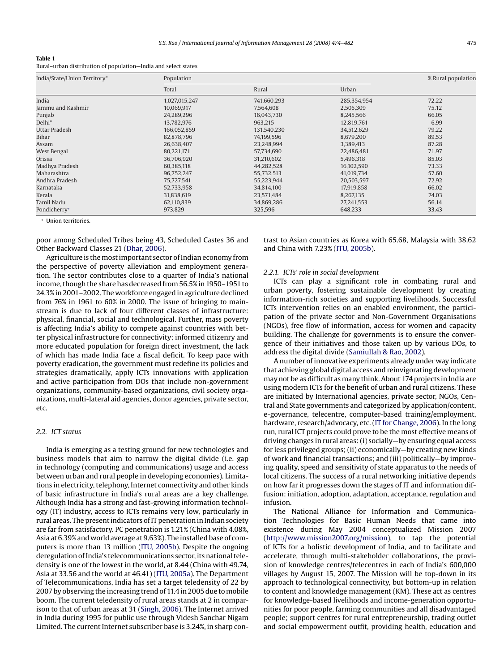#### <span id="page-1-0"></span>**Table 1**

Rural–urban distribution of population—India and select states

| India/State/Union Territory* | Population    |             |             | % Rural population |
|------------------------------|---------------|-------------|-------------|--------------------|
|                              | Total         | Rural       | Urban       |                    |
| India                        | 1,027,015,247 | 741,660,293 | 285,354,954 | 72.22              |
| Jammu and Kashmir            | 10,069,917    | 7,564,608   | 2,505,309   | 75.12              |
| Punjab                       | 24,289,296    | 16,043,730  | 8,245,566   | 66.05              |
| Delhi*                       | 13,782,976    | 963,215     | 12,819,761  | 6.99               |
| Uttar Pradesh                | 166,052,859   | 131,540,230 | 34,512,629  | 79.22              |
| Bihar                        | 82,878,796    | 74,199,596  | 8,679,200   | 89.53              |
| Assam                        | 26,638,407    | 23,248,994  | 3,389,413   | 87.28              |
| West Bengal                  | 80,221,171    | 57,734,690  | 22,486,481  | 71.97              |
| Orissa                       | 36,706,920    | 31,210,602  | 5,496,318   | 85.03              |
| Madhya Pradesh               | 60.385.118    | 44,282,528  | 16.102.590  | 73.33              |
| Maharashtra                  | 96,752,247    | 55,732,513  | 41,019,734  | 57.60              |
| Andhra Pradesh               | 75,727,541    | 55,223,944  | 20,503,597  | 72.92              |
| Karnataka                    | 52,733,958    | 34,814,100  | 17,919,858  | 66.02              |
| Kerala                       | 31,838,619    | 23,571,484  | 8,267,135   | 74.03              |
| Tamil Nadu                   | 62,110,839    | 34,869,286  | 27,241,553  | 56.14              |
| Pondicherry*                 | 973.829       | 325,596     | 648,233     | 33.43              |

<sup>∗</sup> Union territories.

poor among Scheduled Tribes being 43, Scheduled Castes 36 and Other Backward Classes 21 ([Dhar, 2006\).](#page--1-0)

Agriculture is the most important sector of Indian economy from the perspective of poverty alleviation and employment generation. The sector contributes close to a quarter of India's national income, though the share has decreased from 56.5% in 1950–1951 to 24.3% in 2001–2002. The workforce engaged in agriculture declined from 76% in 1961 to 60% in 2000. The issue of bringing to mainstream is due to lack of four different classes of infrastructure: physical, financial, social and technological. Further, mass poverty is affecting India's ability to compete against countries with better physical infrastructure for connectivity; informed citizenry and more educated population for foreign direct investment, the lack of which has made India face a fiscal deficit. To keep pace with poverty eradication, the government must redefine its policies and strategies dramatically, apply ICTs innovations with application and active participation from DOs that include non-government organizations, community-based organizations, civil society organizations, multi-lateral aid agencies, donor agencies, private sector, etc.

## *2.2. ICT status*

India is emerging as a testing ground for new technologies and business models that aim to narrow the digital divide (i.e. gap in technology (computing and communications) usage and access between urban and rural people in developing economies). Limitations in electricity, telephony, Internet connectivity and other kinds of basic infrastructure in India's rural areas are a key challenge. Although India has a strong and fast-growing information technology (IT) industry, access to ICTs remains very low, particularly in rural areas. The present indicators of IT penetration in Indian society are far from satisfactory. PC penetration is 1.21% (China with 4.08%, Asia at 6.39% and world average at 9.63%). The installed base of computers is more than 13 million ([ITU, 2005b\).](#page--1-0) Despite the ongoing deregulation of India's telecommunications sector, its national teledensity is one of the lowest in the world, at 8.44 (China with 49.74, Asia at 33.56 and the world at 46.41) ([ITU, 2005a\).](#page--1-0) The Department of Telecommunications, India has set a target teledensity of 22 by 2007 by observing the increasing trend of 11.4 in 2005 due to mobile boom. The current teledensity of rural areas stands at 2 in comparison to that of urban areas at 31 [\(Singh, 2006\).](#page--1-0) The Internet arrived in India during 1995 for public use through Videsh Sanchar Nigam Limited. The current Internet subscriber base is 3.24%, in sharp contrast to Asian countries as Korea with 65.68, Malaysia with 38.62 and China with 7.23% ([ITU, 2005b\).](#page--1-0)

#### *2.2.1. ICTs' role in social development*

ICTs can play a significant role in combating rural and urban poverty, fostering sustainable development by creating information-rich societies and supporting livelihoods. Successful ICTs intervention relies on an enabled environment, the participation of the private sector and Non-Government Organisations (NGOs), free flow of information, access for women and capacity building. The challenge for governments is to ensure the convergence of their initiatives and those taken up by various DOs, to address the digital divide ([Samiullah & Rao, 2002\).](#page--1-0)

A number of innovative experiments already under way indicate that achieving global digital access and reinvigorating development may not be as difficult as many think. About 174 projects in India are using modern ICTs for the benefit of urban and rural citizens. These are initiated by International agencies, private sector, NGOs, Central and State governments and categorized by application/content, e-governance, telecentre, computer-based training/employment, hardware, research/advocacy, etc. [\(IT for Change, 2006\).](#page--1-0) In the long run, rural ICT projects could prove to be the most effective means of driving changes in rural areas: (i) socially—by ensuring equal access for less privileged groups; (ii) economically—by creating new kinds of work and financial transactions; and (iii) politically—by improving quality, speed and sensitivity of state apparatus to the needs of local citizens. The success of a rural networking initiative depends on how far it progresses down the stages of IT and information diffusion: initiation, adoption, adaptation, acceptance, regulation and infusion.

The National Alliance for Information and Communication Technologies for Basic Human Needs that came into existence during May 2004 conceptualized Mission 2007 (<http://www.mission2007.org/mission>), to tap the potential of ICTs for a holistic development of India, and to facilitate and accelerate, through multi-stakeholder collaborations, the provision of knowledge centres/telecentres in each of India's 600,000 villages by August 15, 2007. The Mission will be top-down in its approach to technological connectivity, but bottom-up in relation to content and knowledge management (KM). These act as centres for knowledge-based livelihoods and income-generation opportunities for poor people, farming communities and all disadvantaged people; support centres for rural entrepreneurship, trading outlet and social empowerment outfit, providing health, education and